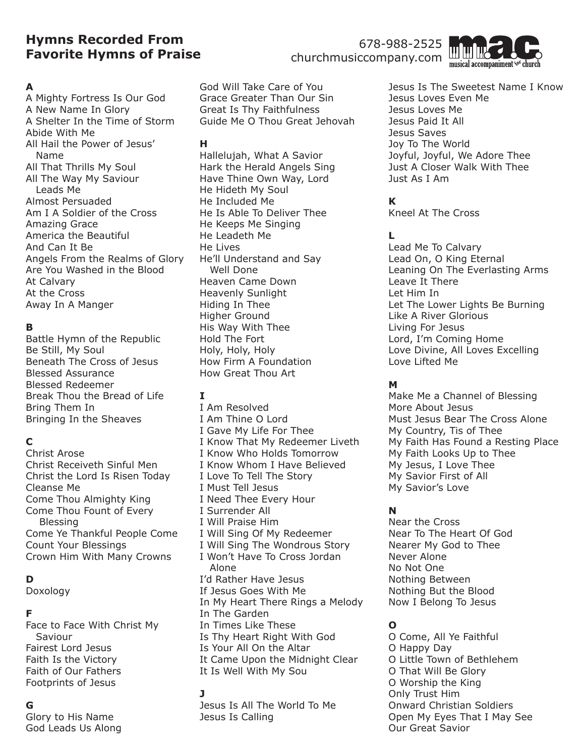# **Hymns Recorded From Favorite Hymns of Praise**

### **A**

A Mighty Fortress Is Our God A New Name In Glory A Shelter In the Time of Storm Abide With Me All Hail the Power of Jesus' Name All That Thrills My Soul All The Way My Saviour Leads Me Almost Persuaded Am I A Soldier of the Cross Amazing Grace America the Beautiful And Can It Be Angels From the Realms of Glory Are You Washed in the Blood At Calvary At the Cross Away In A Manger

### **B**

Battle Hymn of the Republic Be Still, My Soul Beneath The Cross of Jesus Blessed Assurance Blessed Redeemer Break Thou the Bread of Life Bring Them In Bringing In the Sheaves

## **C**

Christ Arose Christ Receiveth Sinful Men Christ the Lord Is Risen Today Cleanse Me Come Thou Almighty King Come Thou Fount of Every Blessing Come Ye Thankful People Come Count Your Blessings Crown Him With Many Crowns

## **D**

Doxology

### **F**

Face to Face With Christ My Saviour Fairest Lord Jesus Faith Is the Victory Faith of Our Fathers Footprints of Jesus

## **G**

Glory to His Name God Leads Us Along

God Will Take Care of You Grace Greater Than Our Sin Great Is Thy Faithfulness Guide Me O Thou Great Jehovah

#### **H**

Hallelujah, What A Savior Hark the Herald Angels Sing Have Thine Own Way, Lord He Hideth My Soul He Included Me He Is Able To Deliver Thee He Keeps Me Singing He Leadeth Me He Lives He'll Understand and Say Well Done Heaven Came Down Heavenly Sunlight Hiding In Thee Higher Ground His Way With Thee Hold The Fort Holy, Holy, Holy How Firm A Foundation How Great Thou Art

## **I**

I Am Resolved I Am Thine O Lord I Gave My Life For Thee I Know That My Redeemer Liveth I Know Who Holds Tomorrow I Know Whom I Have Believed I Love To Tell The Story I Must Tell Jesus I Need Thee Every Hour I Surrender All I Will Praise Him I Will Sing Of My Redeemer I Will Sing The Wondrous Story I Won't Have To Cross Jordan Alone I'd Rather Have Jesus If Jesus Goes With Me In My Heart There Rings a Melody In The Garden In Times Like These Is Thy Heart Right With God Is Your All On the Altar It Came Upon the Midnight Clear It Is Well With My Sou

### **J**

Jesus Is All The World To Me Jesus Is Calling

678-988-2525 churchmusiccompany.com



Jesus Is The Sweetest Name I Know Jesus Loves Even Me Jesus Loves Me Jesus Paid It All Jesus Saves Joy To The World Joyful, Joyful, We Adore Thee Just A Closer Walk With Thee Just As I Am

### **K**

Kneel At The Cross

### **L**

Lead Me To Calvary Lead On, O King Eternal Leaning On The Everlasting Arms Leave It There Let Him In Let The Lower Lights Be Burning Like A River Glorious Living For Jesus Lord, I'm Coming Home Love Divine, All Loves Excelling Love Lifted Me

### **M**

Make Me a Channel of Blessing More About Jesus Must Jesus Bear The Cross Alone My Country, Tis of Thee My Faith Has Found a Resting Place My Faith Looks Up to Thee My Jesus, I Love Thee My Savior First of All My Savior's Love

## **N**

Near the Cross Near To The Heart Of God Nearer My God to Thee Never Alone No Not One Nothing Between Nothing But the Blood Now I Belong To Jesus

## **O**

O Come, All Ye Faithful O Happy Day O Little Town of Bethlehem O That Will Be Glory O Worship the King Only Trust Him Onward Christian Soldiers Open My Eyes That I May See Our Great Savior